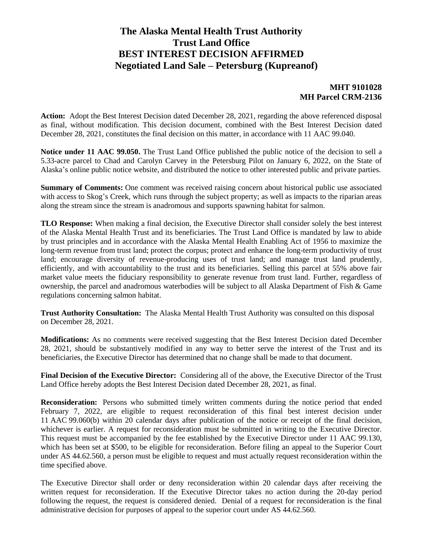## **The Alaska Mental Health Trust Authority Trust Land Office BEST INTEREST DECISION AFFIRMED Negotiated Land Sale – Petersburg (Kupreanof)**

#### **MHT 9101028 MH Parcel CRM-2136**

**Action:** Adopt the Best Interest Decision dated December 28, 2021, regarding the above referenced disposal as final, without modification. This decision document, combined with the Best Interest Decision dated December 28, 2021, constitutes the final decision on this matter, in accordance with 11 AAC 99.040.

**Notice under 11 AAC 99.050.** The Trust Land Office published the public notice of the decision to sell a 5.33-acre parcel to Chad and Carolyn Carvey in the Petersburg Pilot on January 6, 2022, on the State of Alaska's online public notice website, and distributed the notice to other interested public and private parties.

**Summary of Comments:** One comment was received raising concern about historical public use associated with access to Skog's Creek, which runs through the subject property; as well as impacts to the riparian areas along the stream since the stream is anadromous and supports spawning habitat for salmon.

**TLO Response:** When making a final decision, the Executive Director shall consider solely the best interest of the Alaska Mental Health Trust and its beneficiaries. The Trust Land Office is mandated by law to abide by trust principles and in accordance with the Alaska Mental Health Enabling Act of 1956 to maximize the long-term revenue from trust land; protect the corpus; protect and enhance the long-term productivity of trust land; encourage diversity of revenue-producing uses of trust land; and manage trust land prudently, efficiently, and with accountability to the trust and its beneficiaries. Selling this parcel at 55% above fair market value meets the fiduciary responsibility to generate revenue from trust land. Further, regardless of ownership, the parcel and anadromous waterbodies will be subject to all Alaska Department of Fish & Game regulations concerning salmon habitat.

**Trust Authority Consultation:** The Alaska Mental Health Trust Authority was consulted on this disposal on December 28, 2021.

**Modifications:** As no comments were received suggesting that the Best Interest Decision dated December 28, 2021, should be substantively modified in any way to better serve the interest of the Trust and its beneficiaries, the Executive Director has determined that no change shall be made to that document.

**Final Decision of the Executive Director:** Considering all of the above, the Executive Director of the Trust Land Office hereby adopts the Best Interest Decision dated December 28, 2021, as final.

**Reconsideration:** Persons who submitted timely written comments during the notice period that ended February 7, 2022, are eligible to request reconsideration of this final best interest decision under 11 AAC 99.060(b) within 20 calendar days after publication of the notice or receipt of the final decision, whichever is earlier. A request for reconsideration must be submitted in writing to the Executive Director. This request must be accompanied by the fee established by the Executive Director under 11 AAC 99.130, which has been set at \$500, to be eligible for reconsideration. Before filing an appeal to the Superior Court under AS 44.62.560, a person must be eligible to request and must actually request reconsideration within the time specified above.

The Executive Director shall order or deny reconsideration within 20 calendar days after receiving the written request for reconsideration. If the Executive Director takes no action during the 20-day period following the request, the request is considered denied. Denial of a request for reconsideration is the final administrative decision for purposes of appeal to the superior court under AS 44.62.560.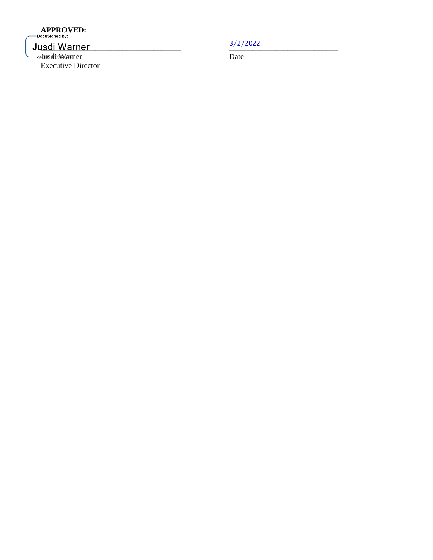# **APPROVED:**<br>PocuSigned by:

## Jusdi Warner

-AFestive Warner Date Executive Director

 $\frac{3}{2}$  ,  $\frac{2022}{200}$ 3/2/2022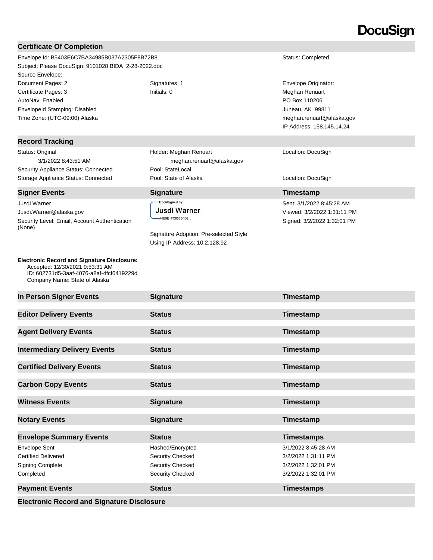# **DocuSign**

| <b>Certificate Of Completion</b>                                                                                                                                                                                                                                          |                                                                                                                              |                                                                                                                                       |
|---------------------------------------------------------------------------------------------------------------------------------------------------------------------------------------------------------------------------------------------------------------------------|------------------------------------------------------------------------------------------------------------------------------|---------------------------------------------------------------------------------------------------------------------------------------|
| Envelope Id: B5403E6C7BA34985B037A2305F8B72B8<br>Subject: Please DocuSign: 9101028 BIDA_2-28-2022.doc<br>Source Envelope:                                                                                                                                                 |                                                                                                                              | Status: Completed                                                                                                                     |
| Document Pages: 2<br>Certificate Pages: 3<br>AutoNav: Enabled<br>EnvelopeId Stamping: Disabled<br>Time Zone: (UTC-09:00) Alaska                                                                                                                                           | Signatures: 1<br>Initials: 0                                                                                                 | Envelope Originator:<br>Meghan Renuart<br>PO Box 110206<br>Juneau, AK 99811<br>meghan.renuart@alaska.gov<br>IP Address: 158.145.14.24 |
| <b>Record Tracking</b>                                                                                                                                                                                                                                                    |                                                                                                                              |                                                                                                                                       |
| Status: Original<br>3/1/2022 8:43:51 AM<br>Security Appliance Status: Connected                                                                                                                                                                                           | Holder: Meghan Renuart<br>meghan.renuart@alaska.gov<br>Pool: StateLocal                                                      | Location: DocuSign                                                                                                                    |
| Storage Appliance Status: Connected                                                                                                                                                                                                                                       | Pool: State of Alaska                                                                                                        | Location: DocuSign                                                                                                                    |
| <b>Signer Events</b>                                                                                                                                                                                                                                                      | <b>Signature</b>                                                                                                             | Timestamp                                                                                                                             |
| Jusdi Warner<br>Jusdi. Warner@alaska.gov<br>Security Level: Email, Account Authentication<br>(None)<br><b>Electronic Record and Signature Disclosure:</b><br>Accepted: 12/30/2021 9:53:31 AM<br>ID: 602731d5-3aaf-4076-a8af-4fcf6419229d<br>Company Name: State of Alaska | DocuSigned by:<br>Jusdi Warner<br>A4E9E1FC953B4D2<br>Signature Adoption: Pre-selected Style<br>Using IP Address: 10.2.128.92 | Sent: 3/1/2022 8:45:28 AM<br>Viewed: 3/2/2022 1:31:11 PM<br>Signed: 3/2/2022 1:32:01 PM                                               |
| In Person Signer Events                                                                                                                                                                                                                                                   |                                                                                                                              |                                                                                                                                       |
|                                                                                                                                                                                                                                                                           | <b>Signature</b>                                                                                                             | Timestamp                                                                                                                             |
| <b>Editor Delivery Events</b>                                                                                                                                                                                                                                             | <b>Status</b>                                                                                                                | Timestamp                                                                                                                             |
| <b>Agent Delivery Events</b>                                                                                                                                                                                                                                              | <b>Status</b>                                                                                                                | Timestamp                                                                                                                             |
| <b>Intermediary Delivery Events</b>                                                                                                                                                                                                                                       | <b>Status</b>                                                                                                                | Timestamp                                                                                                                             |
| <b>Certified Delivery Events</b>                                                                                                                                                                                                                                          | <b>Status</b>                                                                                                                | Timestamp                                                                                                                             |
| <b>Carbon Copy Events</b>                                                                                                                                                                                                                                                 | <b>Status</b>                                                                                                                | Timestamp                                                                                                                             |
| <b>Witness Events</b>                                                                                                                                                                                                                                                     | <b>Signature</b>                                                                                                             | Timestamp                                                                                                                             |

**Envelope Summary Events Status Constants <b>Constants Timestamps** Envelope Sent Hashed/Encrypted 3/1/2022 8:45:28 AM Certified Delivered Security Checked 3/2/2022 1:31:11 PM Signing Complete Security Checked Security Checked 3/2/2022 1:32:01 PM Completed Security Checked 3/2/2022 1:32:01 PM

**Payment Events Status Status CONS Timestamps** 

**Electronic Record and Signature Disclosure**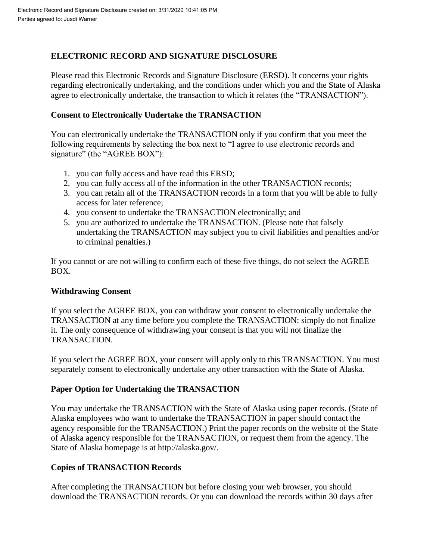## **ELECTRONIC RECORD AND SIGNATURE DISCLOSURE**

Please read this Electronic Records and Signature Disclosure (ERSD). It concerns your rights regarding electronically undertaking, and the conditions under which you and the State of Alaska agree to electronically undertake, the transaction to which it relates (the "TRANSACTION").

## **Consent to Electronically Undertake the TRANSACTION**

You can electronically undertake the TRANSACTION only if you confirm that you meet the following requirements by selecting the box next to "I agree to use electronic records and signature" (the "AGREE BOX"):

- 1. you can fully access and have read this ERSD;
- 2. you can fully access all of the information in the other TRANSACTION records;
- 3. you can retain all of the TRANSACTION records in a form that you will be able to fully access for later reference;
- 4. you consent to undertake the TRANSACTION electronically; and
- 5. you are authorized to undertake the TRANSACTION. (Please note that falsely undertaking the TRANSACTION may subject you to civil liabilities and penalties and/or to criminal penalties.)

If you cannot or are not willing to confirm each of these five things, do not select the AGREE BOX.

## **Withdrawing Consent**

If you select the AGREE BOX, you can withdraw your consent to electronically undertake the TRANSACTION at any time before you complete the TRANSACTION: simply do not finalize it. The only consequence of withdrawing your consent is that you will not finalize the TRANSACTION.

If you select the AGREE BOX, your consent will apply only to this TRANSACTION. You must separately consent to electronically undertake any other transaction with the State of Alaska.

## **Paper Option for Undertaking the TRANSACTION**

You may undertake the TRANSACTION with the State of Alaska using paper records. (State of Alaska employees who want to undertake the TRANSACTION in paper should contact the agency responsible for the TRANSACTION.) Print the paper records on the website of the State of Alaska agency responsible for the TRANSACTION, or request them from the agency. The State of Alaska homepage is at http://alaska.gov/.

## **Copies of TRANSACTION Records**

After completing the TRANSACTION but before closing your web browser, you should download the TRANSACTION records. Or you can download the records within 30 days after